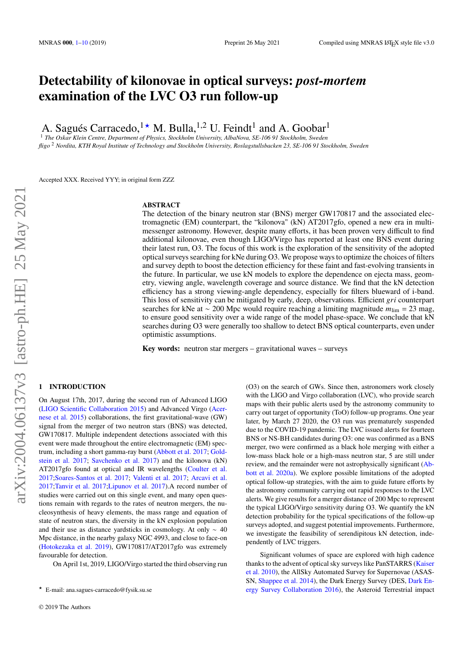# **Detectability of kilonovae in optical surveys:** *post-mortem* **examination of the LVC O3 run follow-up**

A. Sagués Carracedo,  $1 \star M$ . Bulla,  $1,2$  U. Feindt<sup>1</sup> and A. Goobar<sup>1</sup>

<sup>1</sup> *The Oskar Klein Centre, Department of Physics, Stockholm University, AlbaNova, SE-106 91 Stockholm, Sweden fligo* <sup>2</sup> *Nordita, KTH Royal Institute of Technology and Stockholm University, Roslagstullsbacken 23, SE-106 91 Stockholm, Sweden*

Accepted XXX. Received YYY; in original form ZZZ

#### **ABSTRACT**

The detection of the binary neutron star (BNS) merger GW170817 and the associated electromagnetic (EM) counterpart, the "kilonova" (kN) AT2017gfo, opened a new era in multimessenger astronomy. However, despite many efforts, it has been proven very difficult to find additional kilonovae, even though LIGO/Virgo has reported at least one BNS event during their latest run, O3. The focus of this work is the exploration of the sensitivity of the adopted optical surveys searching for kNe during O3. We propose ways to optimize the choices of filters and survey depth to boost the detection efficiency for these faint and fast-evolving transients in the future. In particular, we use kN models to explore the dependence on ejecta mass, geometry, viewing angle, wavelength coverage and source distance. We find that the kN detection efficiency has a strong viewing-angle dependency, especially for filters blueward of i-band. This loss of sensitivity can be mitigated by early, deep, observations. Efficient *gri* counterpart searches for kNe at ∼ 200 Mpc would require reaching a limiting magnitude  $m_{\text{lim}} = 23$  mag, to ensure good sensitivity over a wide range of the model phase-space. We conclude that kN searches during O3 were generally too shallow to detect BNS optical counterparts, even under optimistic assumptions.

**Key words:** neutron star mergers – gravitational waves – surveys

## <span id="page-0-0"></span>**1 INTRODUCTION**

On August 17th, 2017, during the second run of Advanced LIGO [\(LIGO Scientific Collaboration](#page-8-0) [2015\)](#page-8-0) and Advanced Virgo [\(Acer](#page-8-1)[nese et al.](#page-8-1) [2015\)](#page-8-1) collaborations, the first gravitational-wave (GW) signal from the merger of two neutron stars (BNS) was detected, GW170817. Multiple independent detections associated with this event were made throughout the entire electromagnetic (EM) spectrum, including a short gamma-ray burst [\(Abbott et al.](#page-8-2) [2017;](#page-8-2) [Gold](#page-8-3)[stein et al.](#page-8-3) [2017;](#page-8-3) [Savchenko et al.](#page-8-4) [2017\)](#page-8-4) and the kilonova (kN) AT2017gfo found at optical and IR wavelengths [\(Coulter et al.](#page-8-5) [2017;](#page-8-5)[Soares-Santos et al.](#page-8-6) [2017;](#page-8-6) [Valenti et al.](#page-8-7) [2017;](#page-8-7) [Arcavi et al.](#page-8-8) [2017;](#page-8-8)[Tanvir et al.](#page-8-9) [2017](#page-8-9)[;Lipunov et al.](#page-8-10) [2017\)](#page-8-10).A record number of studies were carried out on this single event, and many open questions remain with regards to the rates of neutron mergers, the nucleosynthesis of heavy elements, the mass range and equation of state of neutron stars, the diversity in the kN explosion population and their use as distance yardsticks in cosmology. At only ∼ 40 Mpc distance, in the nearby galaxy NGC 4993, and close to face-on [\(Hotokezaka et al.](#page-8-11) [2019\)](#page-8-11), GW170817/AT2017gfo was extremely favourable for detection.

On April 1st, 2019, LIGO/Virgo started the third observing run

(O3) on the search of GWs. Since then, astronomers work closely with the LIGO and Virgo collaboration (LVC), who provide search maps with their public alerts used by the astronomy community to carry out target of opportunity (ToO) follow-up programs. One year later, by March 27 2020, the O3 run was prematurely suspended due to the COVID-19 pandemic. The LVC issued alerts for fourteen BNS or NS-BH candidates during O3: one was confirmed as a BNS merger, two were confirmed as a black hole merging with either a low-mass black hole or a high-mass neutron star, 5 are still under review, and the remainder were not astrophysically significant [\(Ab](#page-8-12)[bott et al.](#page-8-12) [2020a\)](#page-8-12). We explore possible limitations of the adopted optical follow-up strategies, with the aim to guide future efforts by the astronomy community carrying out rapid responses to the LVC alerts. We give results for a merger distance of 200 Mpc to represent the typical LIGO/Virgo sensitivity during O3. We quantify the kN detection probability for the typical specifications of the follow-up surveys adopted, and suggest potential improvements. Furthermore, we investigate the feasibility of serendipitous kN detection, independently of LVC triggers.

Significant volumes of space are explored with high cadence thanks to the advent of optical sky surveys like PanSTARRS [\(Kaiser](#page-8-13) [et al.](#page-8-13) [2010\)](#page-8-13), the AllSky Automated Survey for Supernovae (ASAS-SN, [Shappee et al.](#page-8-14) [2014\)](#page-8-14), the Dark Energy Survey (DES, [Dark En](#page-8-15)[ergy Survey Collaboration](#page-8-15) [2016\)](#page-8-15), the Asteroid Terrestrial impact

<sup>★</sup> E-mail: ana.sagues-carracedo@fysik.su.se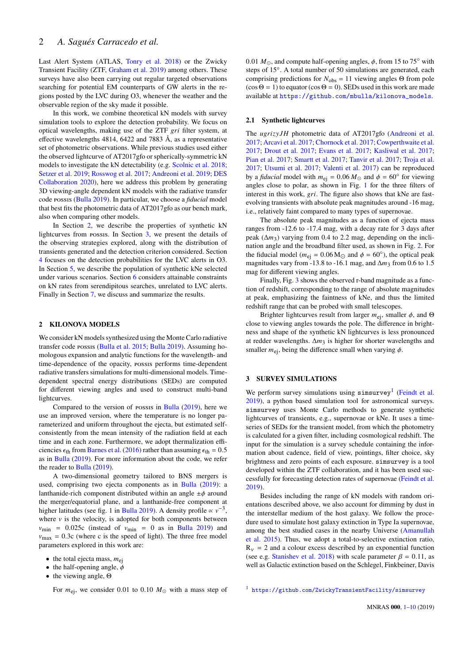Last Alert System (ATLAS, [Tonry et al.](#page-8-16) [2018\)](#page-8-16) or the Zwicky Transient Facility (ZTF, [Graham et al.](#page-8-17) [2019\)](#page-8-17) among others. These surveys have also been carrying out regular targeted observations searching for potential EM counterparts of GW alerts in the regions posted by the LVC during O3, whenever the weather and the observable region of the sky made it possible.

In this work, we combine theoretical kN models with survey simulation tools to explore the detection probability. We focus on optical wavelengths, making use of the ZTF  $gri$  filter system, at effective wavelengths 4814, 6422 and 7883 Å, as a representative set of photometric observations. While previous studies used either the observed lightcurve of AT2017gfo or spherically-symmetric kN models to investigate the kN detectability (e.g. [Scolnic et al.](#page-8-18) [2018;](#page-8-18) [Setzer et al.](#page-8-19) [2019;](#page-8-19) [Rosswog et al.](#page-8-20) [2017;](#page-8-20) [Andreoni et al.](#page-8-21) [2019;](#page-8-21) [DES](#page-8-22) [Collaboration](#page-8-22) [2020\)](#page-8-22), here we address this problem by generating 3D viewing-angle dependent kN models with the radiative transfer code possis [\(Bulla](#page-8-23) [2019\)](#page-8-23). In particular, we choose a *fiducial* model that best fits the photometric data of AT2017gfo as our bench mark, also when comparing other models.

In Section [2,](#page-1-0) we describe the properties of synthetic kN lightcurves from possis. In Section [3,](#page-1-1) we present the details of the observing strategies explored, along with the distribution of transients generated and the detection criterion considered. Section [4](#page-3-0) focuses on the detection probabilities for the LVC alerts in O3. In Section [5,](#page-4-0) we describe the population of synthetic kNe selected under various scenarios. Section  $6$  considers attainable constraints on kN rates from serendipitous searches, unrelated to LVC alerts. Finally in Section [7,](#page-6-0) we discuss and summarize the results.

## <span id="page-1-0"></span>**2 KILONOVA MODELS**

We consider kN models synthesized using the Monte Carlo radiative transfer code possis [\(Bulla et al.](#page-8-24) [2015;](#page-8-24) [Bulla](#page-8-23) [2019\)](#page-8-23). Assuming homologous expansion and analytic functions for the wavelength- and time-dependence of the opacity, possis performs time-dependent radiative transfers simulations for multi-dimensional models. Timedependent spectral energy distributions (SEDs) are computed for different viewing angles and used to construct multi-band lightcurves.

Compared to the version of possis in [Bulla](#page-8-23) [\(2019\)](#page-8-23), here we use an improved version, where the temperature is no longer parameterized and uniform throughout the ejecta, but estimated selfconsistently from the mean intensity of the radiation field at each time and in each zone. Furthermore, we adopt thermalization efficiencies  $\epsilon_{\text{th}}$  from [Barnes et al.](#page-8-25) [\(2016\)](#page-8-25) rather than assuming  $\epsilon_{\text{th}} = 0.5$ as in [Bulla](#page-8-23) [\(2019\)](#page-8-23). For more information about the code, we refer the reader to [Bulla](#page-8-23) [\(2019\)](#page-8-23).

A two-dimensional geometry tailored to BNS mergers is used, comprising two ejecta components as in [Bulla](#page-8-23) [\(2019\)](#page-8-23): a lanthanide-rich component distributed within an angle  $\pm \phi$  around the merger/equatorial plane, and a lanthanide-free component at higher latitudes (see fig. 1 in [Bulla](#page-8-23) [2019\)](#page-8-23). A density profile  $\propto v^{-3}$ , where  $\nu$  is the velocity, is adopted for both components between  $v_{\text{min}}$  = 0.025c (instead of  $v_{\text{min}}$  = 0 as in [Bulla](#page-8-23) [2019\)](#page-8-23) and  $v_{\text{max}} = 0.3c$  (where c is the speed of light). The three free model parameters explored in this work are:

- the total ejecta mass,  $m_{ei}$
- the half-opening angle,  $\phi$
- the viewing angle,  $Θ$

For  $m_{\text{ej}}$ , we consider 0.01 to 0.10  $M_{\odot}$  with a mass step of

0.01  $M_{\odot}$ , and compute half-opening angles,  $\phi$ , from 15 to 75° with steps of 15◦ . A total number of 50 simulations are generated, each comprising predictions for  $N_{\text{obs}} = 11$  viewing angles Θ from pole  $(\cos \Theta = 1)$  to equator  $(\cos \Theta = 0)$ . SEDs used in this work are made available at [https://github.com/mbulla/kilonova\\_models](https://github.com/mbulla/kilonova_models).

#### <span id="page-1-3"></span>**2.1 Synthetic lightcurves**

The  $ugrizyJH$  photometric data of AT2017gfo [\(Andreoni et al.](#page-8-26) [2017;](#page-8-26) [Arcavi et al.](#page-8-8) [2017;](#page-8-8) [Chornock et al.](#page-8-27) [2017;](#page-8-27) [Cowperthwaite et al.](#page-8-28) [2017;](#page-8-28) [Drout et al.](#page-8-29) [2017;](#page-8-29) [Evans et al.](#page-8-30) [2017;](#page-8-30) [Kasliwal et al.](#page-8-31) [2017;](#page-8-31) [Pian et al.](#page-8-32) [2017;](#page-8-32) [Smartt et al.](#page-8-33) [2017;](#page-8-33) [Tanvir et al.](#page-8-9) [2017;](#page-8-9) [Troja et al.](#page-8-34) [2017;](#page-8-34) [Utsumi et al.](#page-8-35) [2017;](#page-8-35) [Valenti et al.](#page-8-7) [2017\)](#page-8-7) can be reproduced by a *fiducial* model with  $m_{ei} = 0.06 M_{\odot}$  and  $\phi = 60^{\circ}$  for viewing angles close to polar, as shown in Fig. [1](#page-2-0) for the three filters of interest in this work,  $gri$ . The figure also shows that kNe are fastevolving transients with absolute peak magnitudes around -16 mag, i.e., relatively faint compared to many types of supernovae.

The absolute peak magnitudes as a function of ejecta mass ranges from -12.6 to -17.4 mag, with a decay rate for 3 days after peak  $(\Delta m_3)$  varying from 0.4 to 2.2 mag, depending on the inclination angle and the broadband filter used, as shown in Fig. [2.](#page-2-1) For the fiducial model ( $m_{\text{ej}} = 0.06 \text{ M}_{\odot}$  and  $\phi = 60^{\circ}$ ), the optical peak magnitudes vary from -13.8 to -16.1 mag, and  $\Delta m_3$  from 0.6 to 1.5 mag for different viewing angles.

Finally, Fig. [3](#page-2-2) shows the observed r-band magnitude as a function of redshift, corresponding to the range of absolute magnitudes at peak, emphasizing the faintness of kNe, and thus the limited redshift range that can be probed with small telescopes.

Brighter lightcurves result from larger  $m_{\text{ei}}$ , smaller  $\phi$ , and  $\Theta$ close to viewing angles towards the pole. The difference in brightness and shape of the synthetic kN lightcurves is less pronounced at redder wavelengths.  $\Delta m_3$  is higher for shorter wavelengths and smaller  $m_{\text{ej}}$ , being the difference small when varying  $\phi$ .

## <span id="page-1-1"></span>**3 SURVEY SIMULATIONS**

We perform survey simulations using  $s$ imsurvey<sup>[1](#page-1-2)</sup> [\(Feindt et al.](#page-8-36) [2019\)](#page-8-36), a python based simulation tool for astronomical surveys. simsurvey uses Monte Carlo methods to generate synthetic lightcurves of transients, e.g., supernovae or kNe. It uses a timeseries of SEDs for the transient model, from which the photometry is calculated for a given filter, including cosmological redshift. The input for the simulation is a survey schedule containing the information about cadence, field of view, pointings, filter choice, sky brightness and zero points of each exposure. simsurvey is a tool developed within the ZTF collaboration, and it has been used successfully for forecasting detection rates of supernovae [\(Feindt et al.](#page-8-36) [2019\)](#page-8-36).

Besides including the range of kN models with random orientations described above, we also account for dimming by dust in the interstellar medium of the host galaxy. We follow the procedure used to simulate host galaxy extinction in Type Ia supernovae, among the best studied cases in the nearby Universe [\(Amanullah](#page-8-37) [et al.](#page-8-37) [2015\)](#page-8-37). Thus, we adopt a total-to-selective extinction ratio,  $R_v = 2$  and a colour excess described by an exponential function (see e.g. [Stanishev et al.](#page-8-38) [2018\)](#page-8-38) with scale parameter  $\beta = 0.11$ , as well as Galactic extinction based on the Schlegel, Finkbeiner, Davis

<span id="page-1-2"></span><sup>1</sup> <https://github.com/ZwickyTransientFacility/simsurvey>

MNRAS **000**, [1](#page-0-0)[–10](#page-10-0) (2019)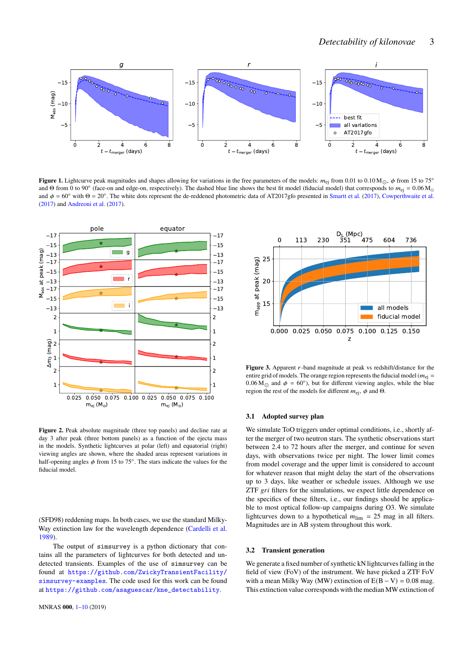

**Figure 1.** Lightcurve peak magnitudes and shapes allowing for variations in the free parameters of the models:  $m_{ej}$  from 0.01 to 0.10 M<sub>O</sub>,  $\phi$  from 15 to 75° and Θ from 0 to 90° (face-on and edge-on, respectively). The dashed blue line shows the best fit model (fiducial model) that corresponds to  $m_{ej} = 0.06 M_{\odot}$ and  $\phi = 60^\circ$  with  $\Theta = 20^\circ$ . The white dots represent the de-reddened photometric data of AT2017gfo presented in [Smartt et al.](#page-8-33) [\(2017\)](#page-8-33), [Cowperthwaite et al.](#page-8-28) [\(2017\)](#page-8-28) and [Andreoni et al.](#page-8-26) [\(2017\)](#page-8-26).



<span id="page-2-1"></span>**Figure 2.** Peak absolute magnitude (three top panels) and decline rate at day 3 after peak (three bottom panels) as a function of the ejecta mass in the models. Synthetic lightcurves at polar (left) and equatorial (right) viewing angles are shown, where the shaded areas represent variations in half-opening angles  $\phi$  from 15 to 75°. The stars indicate the values for the fiducial model.

(SFD98) reddening maps. In both cases, we use the standard Milky-Way extinction law for the wavelength dependence [\(Cardelli et al.](#page-8-39) [1989\)](#page-8-39).

The output of simsurvey is a python dictionary that contains all the parameters of lightcurves for both detected and undetected transients. Examples of the use of simsurvey can be found at [https://github.com/ZwickyTransientFacility/](https://github.com/ZwickyTransientFacility/simsurvey-examples) [simsurvey-examples](https://github.com/ZwickyTransientFacility/simsurvey-examples). The code used for this work can be found at [https://github.com/asaguescar/kne\\_detectability](https://github.com/asaguescar/kne_detectability).

<span id="page-2-0"></span>

<span id="page-2-2"></span>**Figure 3.** Apparent  $r$ -band magnitude at peak vs redshift/distance for the entire grid of models. The orange region represents the fiducial model ( $m_{\text{ei}} =$ 0.06 M<sub> $\odot$ </sub> and  $\phi = 60^{\circ}$ ), but for different viewing angles, while the blue region the rest of the models for different  $m_{\text{ei}}$ ,  $\phi$  and  $\Theta$ .

#### **3.1 Adopted survey plan**

We simulate ToO triggers under optimal conditions, i.e., shortly after the merger of two neutron stars. The synthetic observations start between 2.4 to 72 hours after the merger, and continue for seven days, with observations twice per night. The lower limit comes from model coverage and the upper limit is considered to account for whatever reason that might delay the start of the observations up to 3 days, like weather or schedule issues. Although we use  $ZTF \, gri$  filters for the simulations, we expect little dependence on the specifics of these filters, i.e., our findings should be applicable to most optical follow-up campaigns during O3. We simulate lightcurves down to a hypothetical  $m_{\text{lim}} = 25$  mag in all filters. Magnitudes are in AB system throughout this work.

#### <span id="page-2-3"></span>**3.2 Transient generation**

We generate a fixed number of synthetic kN lightcurves falling in the field of view (FoV) of the instrument. We have picked a ZTF FoV with a mean Milky Way (MW) extinction of  $E(B - V) = 0.08$  mag. This extinction value corresponds with the median MW extinction of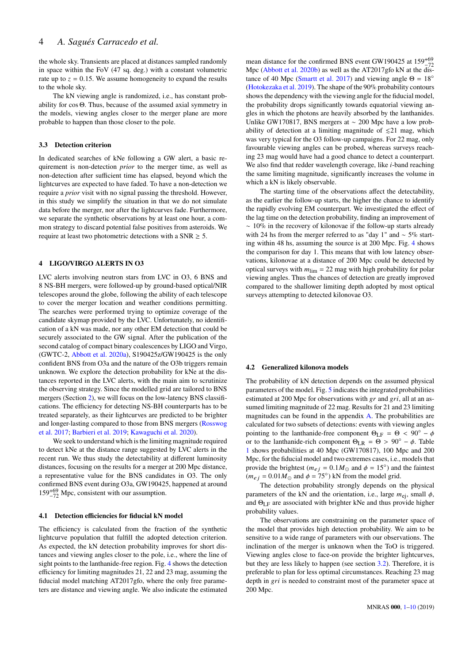the whole sky. Transients are placed at distances sampled randomly in space within the FoV (47 sq. deg.) with a constant volumetric rate up to  $z = 0.15$ . We assume homogeneity to expand the results to the whole sky.

The kN viewing angle is randomized, i.e., has constant probability for cos Θ. Thus, because of the assumed axial symmetry in the models, viewing angles closer to the merger plane are more probable to happen than those closer to the pole.

#### **3.3 Detection criterion**

In dedicated searches of kNe following a GW alert, a basic requirement is non-detection *prior* to the merger time, as well as non-detection after sufficient time has elapsed, beyond which the lightcurves are expected to have faded. To have a non-detection we require a *prior* visit with no signal passing the threshold. However, in this study we simplify the situation in that we do not simulate data before the merger, nor after the lightcurves fade. Furthermore, we separate the synthetic observations by at least one hour, a common strategy to discard potential false positives from asteroids. We require at least two photometric detections with a  $SNR \geq 5$ .

#### <span id="page-3-0"></span>**4 LIGO/VIRGO ALERTS IN O3**

LVC alerts involving neutron stars from LVC in O3, 6 BNS and 8 NS-BH mergers, were followed-up by ground-based optical/NIR telescopes around the globe, following the ability of each telescope to cover the merger location and weather conditions permitting. The searches were performed trying to optimize coverage of the candidate skymap provided by the LVC. Unfortunately, no identification of a kN was made, nor any other EM detection that could be securely associated to the GW signal. After the publication of the second catalog of compact binary coalescences by LIGO and Virgo, (GWTC-2, [Abbott et al.](#page-8-12) [2020a\)](#page-8-12), S190425z/GW190425 is the only confident BNS from O3a and the nature of the O3b triggers remain unknown. We explore the detection probability for kNe at the distances reported in the LVC alerts, with the main aim to scrutinize the observing strategy. Since the modelled grid are tailored to BNS mergers (Section [2\)](#page-1-0), we will focus on the low-latency BNS classifications. The efficiency for detecting NS-BH counterparts has to be treated separately, as their lightcurves are predicted to be brighter and longer-lasting compared to those from BNS mergers [\(Rosswog](#page-8-20) [et al.](#page-8-20) [2017;](#page-8-20) [Barbieri et al.](#page-8-40) [2019;](#page-8-40) [Kawaguchi et al.](#page-8-41) [2020\)](#page-8-41).

We seek to understand which is the limiting magnitude required to detect kNe at the distance range suggested by LVC alerts in the recent run. We thus study the detectability at different luminosity distances, focusing on the results for a merger at 200 Mpc distance, a representative value for the BNS candidates in O3. The only confirmed BNS event during O3a, GW190425, happened at around 159+<sup>69</sup> <sup>−</sup><sup>72</sup> Mpc, consistent with our assumption.

#### **4.1 Detection efficiencies for fiducial kN model**

The efficiency is calculated from the fraction of the synthetic lightcurve population that fulfill the adopted detection criterion. As expected, the kN detection probability improves for short distances and viewing angles closer to the pole, i.e., where the line of sight points to the lanthanide-free region. Fig. [4](#page-4-1) shows the detection efficiency for limiting magnitudes 21, 22 and 23 mag, assuming the fiducial model matching AT2017gfo, where the only free parameters are distance and viewing angle. We also indicate the estimated

mean distance for the confirmed BNS event GW190425 at  $159^{+69}_{-72}$ Mpc [\(Abbott et al.](#page-8-42) [2020b\)](#page-8-42) as well as the AT2017gfo kN at the dis-tance of 40 Mpc [\(Smartt et al.](#page-8-33) [2017\)](#page-8-33) and viewing angle  $\Theta = 18^\circ$ [\(Hotokezaka et al.](#page-8-11) [2019\)](#page-8-11). The shape of the 90% probability contours shows the dependency with the viewing angle for the fiducial model, the probability drops significantly towards equatorial viewing angles in which the photons are heavily absorbed by the lanthanides. Unlike GW170817, BNS mergers at ∼ 200 Mpc have a low probability of detection at a limiting magnitude of  $\leq 21$  mag, which was very typical for the O3 follow-up campaigns. For 22 mag, only favourable viewing angles can be probed, whereas surveys reaching 23 mag would have had a good chance to detect a counterpart. We also find that redder wavelength coverage, like  $i$ -band reaching the same limiting magnitude, significantly increases the volume in which a kN is likely observable.

The starting time of the observations affect the detectability, as the earlier the follow-up starts, the higher the chance to identify the rapidly evolving EM counterpart. We investigated the effect of the lag time on the detection probability, finding an improvement of ∼ 10% in the recovery of kilonovae if the follow-up starts already with 24 hs from the merger referred to as "day 1" and  $\sim$  5% starting within 48 hs, assuming the source is at 200 Mpc. Fig. [4](#page-4-1) shows the comparison for day 1. This means that with low latency observations, kilonovae at a distance of 200 Mpc could be detected by optical surveys with  $m_{\text{lim}} = 22$  mag with high probability for polar viewing angles. Thus the chances of detection are greatly improved compared to the shallower limiting depth adopted by most optical surveys attempting to detected kilonovae O3.

#### <span id="page-3-1"></span>**4.2 Generalized kilonova models**

The probability of kN detection depends on the assumed physical parameters of the model. Fig. [5](#page-5-1) indicates the integrated probabilities estimated at 200 Mpc for observations with  $gr$  and  $gri$ , all at an assumed limiting magnitude of 22 mag. Results for 21 and 23 limiting magnitudes can be found in the appendix [A.](#page-9-0) The probabilities are calculated for two subsets of detections: events with viewing angles pointing to the lanthanide-free component  $\Theta_{LF} = \Theta < 90^{\circ} - \phi$ or to the lanthanide-rich component  $\Theta_{LR} = \Theta > 90^\circ - \phi$ . Table [1](#page-4-2) shows probabilities at 40 Mpc (GW170817), 100 Mpc and 200 Mpc, for the fiducial model and two extremes cases, i.e., models that provide the brightest ( $m_{ej} = 0.1 M_{\odot}$  and  $\phi = 15^{\circ}$ ) and the faintest  $(m_{ej} = 0.01 M_{\odot}$  and  $\phi = 75^{\circ}$ ) kN from the model grid.

The detection probability strongly depends on the physical parameters of the kN and the orientation, i.e., large  $m_{\text{ej}}$ , small  $\phi$ , and  $\Theta_{LF}$  are associated with brighter kNe and thus provide higher probability values.

The observations are constraining on the parameter space of the model that provides high detection probability. We aim to be sensitive to a wide range of parameters with our observations. The inclination of the merger is unknown when the ToO is triggered. Viewing angles close to face-on provide the brighter lightcurves, but they are less likely to happen (see section [3.2\)](#page-2-3). Therefore, it is preferable to plan for less optimal circumstances. Reaching 23 mag depth in  $gri$  is needed to constraint most of the parameter space at 200 Mpc.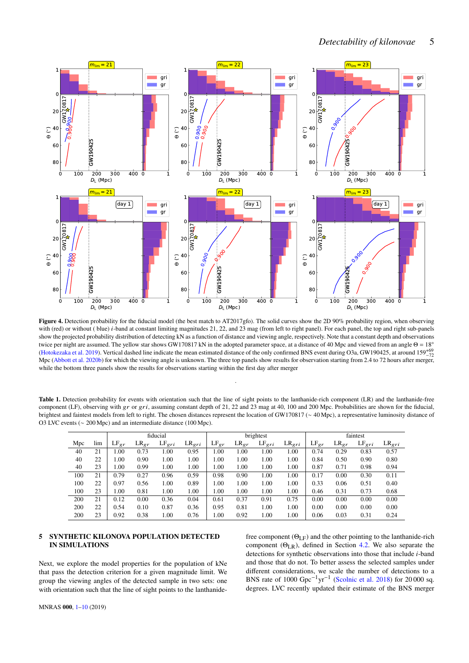

<span id="page-4-1"></span>Figure 4. Detection probability for the fiducial model (the best match to AT2017gfo). The solid curves show the 2D 90% probability region, when observing with (red) or without (blue) *i*-band at constant limiting magnitudes 21, 22, and 23 mag (from left to right panel). For each panel, the top and right sub-panels show the projected probability distribution of detecting kN as a function of distance and viewing angle, respectively. Note that a constant depth and observations twice per night are assumed. The yellow star shows GW170817 kN in the adopted parameter space, at a distance of 40 Mpc and viewed from an angle Θ = 18<sup>°</sup> [\(Hotokezaka et al.](#page-8-11) [2019\)](#page-8-11). Vertical dashed line indicate the mean estimated distance of the only confirmed BNS event during O3a, GW190425, at around 159<sup>+69</sup><sup>-72</sup> Mpc [\(Abbott et al.](#page-8-42) [2020b\)](#page-8-42) for which the viewing angle is unknown. The three top panels show results for observation starting from 2.4 to 72 hours after merger, while the bottom three panels show the results for observations starting within the first day after merger

<span id="page-4-2"></span>Table 1. Detection probability for events with orientation such that the line of sight points to the lanthanide-rich component (LR) and the lanthanide-free component (LF), observing with  $gr$  or  $gri$ , assuming constant depth of 21, 22 and 23 mag at 40, 100 and 200 Mpc. Probabilities are shown for the fiducial, brightest and faintest models from left to right. The chosen distances represent the location of GW170817 (∼ 40 Mpc), a representative luminosity distance of O3 LVC events (∼ 200 Mpc) and an intermediate distance (100 Mpc).

.

|     |     | fiducial  |           |            |            | brightest |           |            |                   | faintest  |           |                   |            |
|-----|-----|-----------|-----------|------------|------------|-----------|-----------|------------|-------------------|-----------|-----------|-------------------|------------|
| Mpc | lim | $LF_{gr}$ | $LR_{er}$ | $LF_{gri}$ | $LR_{gri}$ | $LF_{gr}$ | $LR_{gr}$ | $LF_{gri}$ | LR <sub>eri</sub> | $LF_{gr}$ | $LR_{gr}$ | LF <sub>eri</sub> | $LR_{gri}$ |
| 40  | 21  | 1.00      | 0.73      | 1.00       | 0.95       | 1.00      | 1.00      | 1.00       | 1.00              | 0.74      | 0.29      | 0.83              | 0.57       |
| 40  | 22  | 1.00      | 0.90      | 1.00       | 1.00       | 1.00      | 1.00      | 1.00       | 1.00              | 0.84      | 0.50      | 0.90              | 0.80       |
| 40  | 23  | 1.00      | 0.99      | 1.00       | 1.00       | 1.00      | 1.00      | 1.00       | 1.00              | 0.87      | 0.71      | 0.98              | 0.94       |
| 100 | 21  | 0.79      | 0.27      | 0.96       | 0.59       | 0.98      | 0.90      | 1.00       | 1.00              | 0.17      | 0.00      | 0.30              | 0.11       |
| 100 | 22  | 0.97      | 0.56      | 1.00       | 0.89       | 1.00      | 1.00      | 1.00       | 1.00              | 0.33      | 0.06      | 0.51              | 0.40       |
| 100 | 23  | 1.00      | 0.81      | 1.00       | 1.00       | 1.00      | 1.00      | 1.00       | 1.00              | 0.46      | 0.31      | 0.73              | 0.68       |
| 200 | 21  | 0.12      | 0.00      | 0.36       | 0.04       | 0.61      | 0.37      | 0.91       | 0.75              | 0.00      | 0.00      | 0.00              | 0.00       |
| 200 | 22  | 0.54      | 0.10      | 0.87       | 0.36       | 0.95      | 0.81      | 1.00       | 1.00              | 0.00      | 0.00      | 0.00              | 0.00       |
| 200 | 23  | 0.92      | 0.38      | 1.00       | 0.76       | 1.00      | 0.92      | 1.00       | 1.00              | 0.06      | 0.03      | 0.31              | 0.24       |

## <span id="page-4-0"></span>**5 SYNTHETIC KILONOVA POPULATION DETECTED IN SIMULATIONS**

Next, we explore the model properties for the population of kNe that pass the detection criterion for a given magnitude limit. We group the viewing angles of the detected sample in two sets: one with orientation such that the line of sight points to the lanthanidefree component  $(\Theta_{\text{LF}})$  and the other pointing to the lanthanide-rich component (ΘLR), defined in Section [4.2.](#page-3-1) We also separate the detections for synthetic observations into those that include  $i$ -band and those that do not. To better assess the selected samples under different considerations, we scale the number of detections to a BNS rate of 1000  $Gpc^{-1}vr^{-1}$  [\(Scolnic et al.](#page-8-18) [2018\)](#page-8-18) for 20 000 sq. degrees. LVC recently updated their estimate of the BNS merger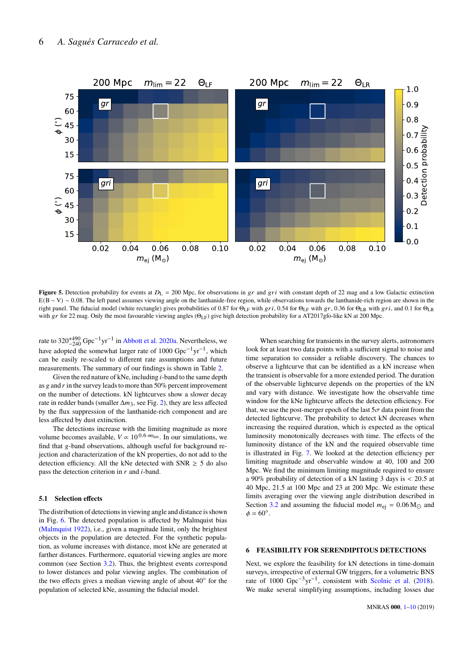

**Figure 5.** Detection probability for events at  $D_L = 200$  Mpc, for observations in  $gr$  and  $gri$  with constant depth of 22 mag and a low Galactic extinction E(B − V) ∼ 0.08. The left panel assumes viewing angle on the lanthanide-free region, while observations towards the lanthanide-rich region are shown in the right panel. The fiducial model (white rectangle) gives probabilities of 0.87 for  $\Theta_{LF}$  with gri, 0.54 for  $\Theta_{LF}$  with gr, 0.36 for  $\Theta_{LR}$  with gri, and 0.1 for  $\Theta_{LR}$ with gr for 22 mag. Only the most favourable viewing angles  $(\Theta_{LF})$  give high detection probability for a AT2017gfo-like kN at 200 Mpc.

rate to  $320^{+490}_{-240}$  Gpc<sup>-1</sup>yr<sup>-1</sup> in [Abbott et al.](#page-8-12) [2020a.](#page-8-12) Nevertheless, we have adopted the somewhat larger rate of 1000  $Gpc^{-1}vr^{-1}$ , which can be easily re-scaled to different rate assumptions and future measurements. The summary of our findings is shown in Table [2.](#page-6-1)

Given the red nature of kNe, including  $i$ -band to the same depth as  $g$  and  $r$  in the survey leads to more than 50% percent improvement on the number of detections. kN lightcurves show a slower decay rate in redder bands (smaller  $\Delta m_3$ , see Fig. [2\)](#page-2-1), they are less affected by the flux suppression of the lanthanide-rich component and are less affected by dust extinction.

The detections increase with the limiting magnitude as more volume becomes available,  $V \propto 10^{0.6 \cdot m_{\text{lim}}}$ . In our simulations, we find that  $g$ -band observations, although useful for background rejection and characterization of the kN properties, do not add to the detection efficiency. All the kNe detected with  $SNR \geq 5$  do also pass the detection criterion in  $r$  and  $i$ -band.

## **5.1 Selection effects**

The distribution of detections in viewing angle and distance is shown in Fig. [6.](#page-6-2) The detected population is affected by Malmquist bias [\(Malmquist](#page-8-43) [1922\)](#page-8-43), i.e., given a magnitude limit, only the brightest objects in the population are detected. For the synthetic population, as volume increases with distance, most kNe are generated at farther distances. Furthermore, equatorial viewing angles are more common (see Section [3.2\)](#page-2-3). Thus, the brightest events correspond to lower distances and polar viewing angles. The combination of the two effects gives a median viewing angle of about  $40^{\circ}$  for the population of selected kNe, assuming the fiducial model.

<span id="page-5-1"></span>When searching for transients in the survey alerts, astronomers look for at least two data points with a sufficient signal to noise and time separation to consider a reliable discovery. The chances to observe a lightcurve that can be identified as a kN increase when the transient is observable for a more extended period. The duration of the observable lightcurve depends on the properties of the kN and vary with distance. We investigate how the observable time window for the kNe lightcurve affects the detection efficiency. For that, we use the post-merger epoch of the last  $5\sigma$  data point from the detected lightcurve. The probability to detect kN decreases when increasing the required duration, which is expected as the optical luminosity monotonically decreases with time. The effects of the luminosity distance of the kN and the required observable time is illustrated in Fig. [7.](#page-7-0) We looked at the detection efficiency per limiting magnitude and observable window at 40, 100 and 200 Mpc. We find the minimum limiting magnitude required to ensure a 90% probability of detection of a kN lasting 3 days is < 20.5 at 40 Mpc, 21.5 at 100 Mpc and 23 at 200 Mpc. We estimate these limits averaging over the viewing angle distribution described in Section [3.2](#page-2-3) and assuming the fiducial model  $m_{\text{ei}} = 0.06 \text{ M}_{\odot}$  and  $\phi = 60^\circ.$ 

## <span id="page-5-0"></span>**6 FEASIBILITY FOR SERENDIPITOUS DETECTIONS**

Next, we explore the feasibility for kN detections in time-domain surveys, irrespective of external GW triggers, for a volumetric BNS rate of  $1000 \text{ Gpc}^{-3} \text{yr}^{-1}$ , consistent with [Scolnic et al.](#page-8-18) [\(2018\)](#page-8-18). We make several simplifying assumptions, including losses due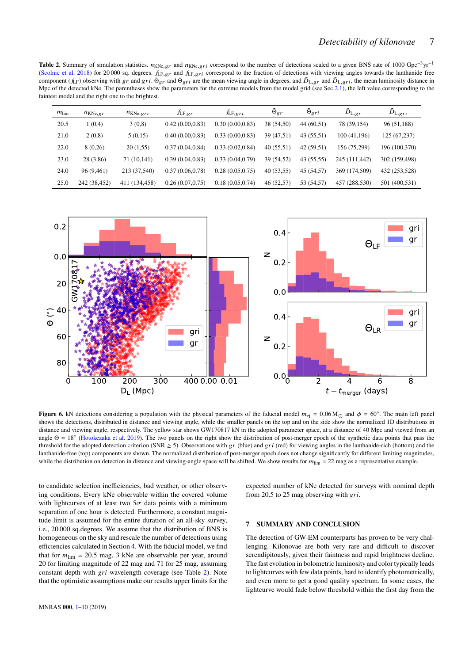<span id="page-6-1"></span>Table 2. Summary of simulation statistics.  $n_{KNe, gr}$  and  $n_{KNe, gr}$  correspond to the number of detections scaled to a given BNS rate of 1000 Gpc<sup>-3</sup>yr<sup>-1</sup> [\(Scolnic et al.](#page-8-18) [2018\)](#page-8-18) for 20 000 sq. degrees.  $f_{LF, gr}$  and  $f_{LF, gr}$  correspond to the fraction of detections with viewing angles towards the lanthanide free component  $(f_{LF})$  observing with gr and gri.  $\bar{\Theta}_{gr}$  and  $\bar{\Theta}_{gri}$  are the mean viewing angle in degrees, and  $\bar{D}_{L,gr}$  and  $\bar{D}_{L,gri}$ , the mean luminosity distance in Mpc of the detected kNe. The parentheses show the parameters for the extreme models from the model grid (see Sec[.2.1\)](#page-1-3), the left value corresponding to the faintest model and the right one to the brightest.

| $m_{\text{lim}}$ | $n_{KNe, gr}$ | $n_{KNe, gri}$ | $\sqrt{\text{LF}, gr}$ | $\hbar$ F,gri    | $\Theta_{gr}$ | $\Theta_{gri}$ | $D_{L, gr}$   | $D_{L,gri}$   |
|------------------|---------------|----------------|------------------------|------------------|---------------|----------------|---------------|---------------|
| 20.5             | 1(0,4)        | 3(0,8)         | 0.42(0.00, 0.83)       | 0.30(0.00, 0.83) | 38 (54,50)    | 44(60,51)      | 78 (39,154)   | 96 (51,188)   |
| 21.0             | 2(0,8)        | 5(0,15)        | 0.40(0.00, 0.83)       | 0.33(0.00, 0.83) | 39 (47,51)    | 43 (55,51)     | 100 (41,196)  | 125 (67,237)  |
| 22.0             | 8(0,26)       | 20(1,55)       | 0.37(0.04, 0.84)       | 0.33(0.02, 0.84) | 40(55,51)     | 42(59,51)      | 156 (75,299)  | 196 (100,370) |
| 23.0             | 28 (3,86)     | 71 (10,141)    | 0.39(0.04, 0.83)       | 0.33(0.04, 0.79) | 39 (54,52)    | 43 (55,55)     | 245 (111,442) | 302 (159,498) |
| 24.0             | 96 (9,461)    | 213 (37,540)   | 0.37(0.06, 0.78)       | 0.28(0.05, 0.75) | 40(53,55)     | 45 (54,57)     | 369 (174,509) | 432 (253,528) |
| 25.0             | 242 (38,452)  | 411 (134,458)  | 0.26(0.07, 0.75)       | 0.18(0.05, 0.74) | 46 (52,57)    | 53 (54,57)     | 457 (288,530) | 501 (400,531) |



**Figure 6.** kN detections considering a population with the physical parameters of the fiducial model  $m_{ej} = 0.06 M_{\odot}$  and  $\phi = 60^{\circ}$ . The main left panel shows the detections, distributed in distance and viewing angle, while the smaller panels on the top and on the side show the normalized 1D distributions in distance and viewing angle, respectively. The yellow star shows GW170817 kN in the adopted parameter space, at a distance of 40 Mpc and viewed from an angle  $\Theta = 18^\circ$  [\(Hotokezaka et al.](#page-8-11) [2019\)](#page-8-11). The two panels on the right show the distribution of post-merger epoch of the synthetic data points that pass the threshold for the adopted detection criterion (SNR  $\geq$  5). Observations with gr (blue) and gri (red) for viewing angles in the lanthanide-rich (bottom) and the lanthanide-free (top) components are shown. The normalized distribution of post-merger epoch does not change significantly for different limiting magnitudes, while the distribution on detection in distance and viewing-angle space will be shifted. We show results for  $m_{\text{lim}} = 22$  mag as a representative example.

to candidate selection inefficiencies, bad weather, or other observing conditions. Every kNe observable within the covered volume with lightcurves of at least two  $5\sigma$  data points with a minimum separation of one hour is detected. Furthermore, a constant magnitude limit is assumed for the entire duration of an all-sky survey, i.e., 20 000 sq.degrees. We assume that the distribution of BNS is homogeneous on the sky and rescale the number of detections using efficiencies calculated in Section [4.](#page-3-0) With the fiducial model, we find that for  $m_{\text{lim}} = 20.5$  mag, 3 kNe are observable per year, around 20 for limiting magnitude of 22 mag and 71 for 25 mag, assuming constant depth with *gri* wavelength coverage (see Table [2\)](#page-6-1). Note that the optimistic assumptions make our results upper limits for the <span id="page-6-2"></span>expected number of kNe detected for surveys with nominal depth from 20.5 to 25 mag observing with  $gri$ .

## <span id="page-6-0"></span>**7 SUMMARY AND CONCLUSION**

The detection of GW-EM counterparts has proven to be very challenging. Kilonovae are both very rare and difficult to discover serendipitously, given their faintness and rapid brightness decline. The fast evolution in bolometric luminosity and color typically leads to lightcurves with few data points, hard to identify photometrically, and even more to get a good quality spectrum. In some cases, the lightcurve would fade below threshold within the first day from the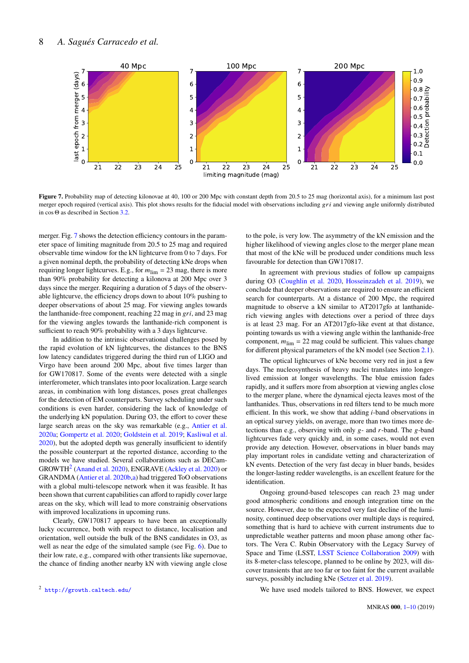

**Figure 7.** Probability map of detecting kilonovae at 40, 100 or 200 Mpc with constant depth from 20.5 to 25 mag (horizontal axis), for a minimum last post merger epoch required (vertical axis). This plot shows results for the fiducial model with observations including  $gri$  and viewing angle uniformly distributed in cos Θ as described in Section [3.2.](#page-2-3)

merger. Fig. [7](#page-7-0) shows the detection efficiency contours in the parameter space of limiting magnitude from 20.5 to 25 mag and required observable time window for the kN lightcurve from 0 to 7 days. For a given nominal depth, the probability of detecting kNe drops when requiring longer lightcurves. E.g., for  $m_{\text{lim}} = 23$  mag, there is more than 90% probability for detecting a kilonova at 200 Mpc over 3 days since the merger. Requiring a duration of 5 days of the observable lightcurve, the efficiency drops down to about 10% pushing to deeper observations of about 25 mag. For viewing angles towards the lanthanide-free component, reaching 22 mag in  $gri$ , and 23 mag for the viewing angles towards the lanthanide-rich component is sufficient to reach 90% probability with a 3 days lightcurve.

In addition to the intrinsic observational challenges posed by the rapid evolution of kN lightcurves, the distances to the BNS low latency candidates triggered during the third run of LIGO and Virgo have been around 200 Mpc, about five times larger than for GW170817. Some of the events were detected with a single interferometer, which translates into poor localization. Large search areas, in combination with long distances, poses great challenges for the detection of EM counterparts. Survey scheduling under such conditions is even harder, considering the lack of knowledge of the underlying kN population. During O3, the effort to cover these large search areas on the sky was remarkable (e.g., [Antier et al.](#page-8-44) [2020a;](#page-8-44) [Gompertz et al.](#page-8-45) [2020;](#page-8-45) [Goldstein et al.](#page-8-46) [2019;](#page-8-46) [Kasliwal et al.](#page-8-47) [2020\)](#page-8-47), but the adopted depth was generally insufficient to identify the possible counterpart at the reported distance, according to the models we have studied. Several collaborations such as DECam-GROWTH<sup>[2](#page-7-1)</sup> [\(Anand et al.](#page-8-48) [2020\)](#page-8-49), ENGRAVE [\(Ackley et al.](#page-8-49) 2020) or GRANDMA [\(Antier et al.](#page-8-50) [2020b](#page-8-50)[,a\)](#page-8-44) had triggered ToO observations with a global multi-telescope network when it was feasible. It has been shown that current capabilities can afford to rapidly cover large areas on the sky, which will lead to more constrainig observations with improved localizations in upcoming runs.

Clearly, GW170817 appears to have been an exceptionally lucky occurrence, both with respect to distance, localisation and orientation, well outside the bulk of the BNS candidates in O3, as well as near the edge of the simulated sample (see Fig. [6\)](#page-6-2). Due to their low rate, e.g., compared with other transients like supernovae, the chance of finding another nearby kN with viewing angle close <span id="page-7-0"></span>to the pole, is very low. The asymmetry of the kN emission and the higher likelihood of viewing angles close to the merger plane mean that most of the kNe will be produced under conditions much less favourable for detection than GW170817.

In agreement with previous studies of follow up campaigns during O3 [\(Coughlin et al.](#page-8-51) [2020,](#page-8-51) [Hosseinzadeh et al.](#page-8-52) [2019\)](#page-8-52), we conclude that deeper observations are required to ensure an efficient search for counterparts. At a distance of 200 Mpc, the required magnitude to observe a kN similar to AT2017gfo at lanthaniderich viewing angles with detections over a period of three days is at least 23 mag. For an AT2017gfo-like event at that distance, pointing towards us with a viewing angle within the lanthanide-free component,  $m_{\text{lim}} = 22$  mag could be sufficient. This values change for different physical parameters of the kN model (see Section [2.1\)](#page-1-3).

The optical lightcurves of kNe become very red in just a few days. The nucleosynthesis of heavy nuclei translates into longerlived emission at longer wavelengths. The blue emission fades rapidly, and it suffers more from absorption at viewing angles close to the merger plane, where the dynamical ejecta leaves most of the lanthanides. Thus, observations in red filters tend to be much more efficient. In this work, we show that adding  $i$ -band observations in an optical survey yields, on average, more than two times more detections than e.g., observing with only  $g$ - and  $r$ -band. The  $g$ -band lightcurves fade very quickly and, in some cases, would not even provide any detection. However, observations in bluer bands may play important roles in candidate vetting and characterization of kN events. Detection of the very fast decay in bluer bands, besides the longer-lasting redder wavelengths, is an excellent feature for the identification.

Ongoing ground-based telescopes can reach 23 mag under good atmospheric conditions and enough integration time on the source. However, due to the expected very fast decline of the luminosity, continued deep observations over multiple days is required, something that is hard to achieve with current instruments due to unpredictable weather patterns and moon phase among other factors. The Vera C. Rubin Observatory with the Legacy Survey of Space and Time (LSST, [LSST Science Collaboration](#page-8-53) [2009\)](#page-8-53) with its 8-meter-class telescope, planned to be online by 2023, will discover transients that are too far or too faint for the current available surveys, possibly including kNe [\(Setzer et al.](#page-8-19) [2019\)](#page-8-19).

We have used models tailored to BNS. However, we expect

<span id="page-7-1"></span><sup>2</sup> <http://growth.caltech.edu/>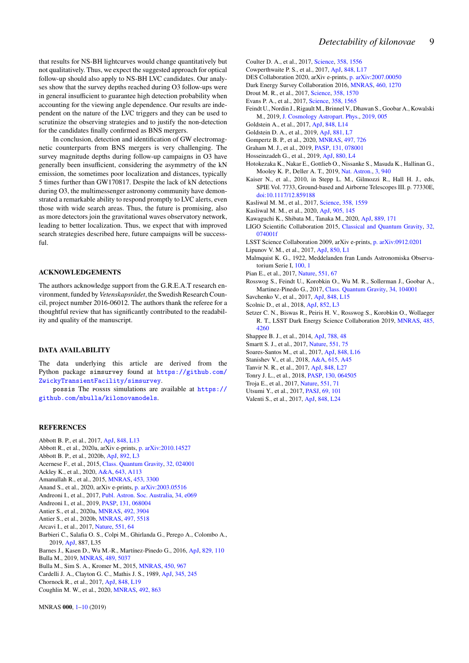that results for NS-BH lightcurves would change quantitatively but not qualitatively. Thus, we expect the suggested approach for optical follow-up should also apply to NS-BH LVC candidates. Our analyses show that the survey depths reached during O3 follow-ups were in general insufficient to guarantee high detection probability when accounting for the viewing angle dependence. Our results are independent on the nature of the LVC triggers and they can be used to scrutinize the observing strategies and to justify the non-detection for the candidates finally confirmed as BNS mergers.

In conclusion, detection and identification of GW electromagnetic counterparts from BNS mergers is very challenging. The survey magnitude depths during follow-up campaigns in O3 have generally been insufficient, considering the asymmetry of the kN emission, the sometimes poor localization and distances, typically 5 times further than GW170817. Despite the lack of kN detections during O3, the multimessenger astronomy community have demonstrated a remarkable ability to respond promptly to LVC alerts, even those with wide search areas. Thus, the future is promising, also as more detectors join the gravitational waves observatory network, leading to better localization. Thus, we expect that with improved search strategies described here, future campaigns will be successful.

#### **ACKNOWLEDGEMENTS**

The authors acknowledge support from the G.R.E.A.T research environment, funded by *Vetenskapsrådet*, the Swedish Research Council, project number 2016-06012. The authors thank the referee for a thoughtful review that has significantly contributed to the readability and quality of the manuscript.

## **DATA AVAILABILITY**

The data underlying this article are derived from the Python package simsurvey found at [https://github.com/](https://github.com/ZwickyTransientFacility/simsurvey) [ZwickyTransientFacility/simsurvey](https://github.com/ZwickyTransientFacility/simsurvey).

possis The possis simulations are available at [https://](https://github.com/mbulla/kilonova models) [github.com/mbulla/kilonovamodels](https://github.com/mbulla/kilonova models).

## **REFERENCES**

- <span id="page-8-49"></span><span id="page-8-48"></span><span id="page-8-44"></span><span id="page-8-42"></span><span id="page-8-37"></span><span id="page-8-26"></span><span id="page-8-21"></span><span id="page-8-12"></span><span id="page-8-2"></span><span id="page-8-1"></span>Abbott B. P., et al., 2017, [ApJ,](http://dx.doi.org/10.3847/2041-8213/aa920c) [848, L13](https://ui.adsabs.harvard.edu/abs/2017ApJ...848L..13A) Abbott R., et al., 2020a, arXiv e-prints, [p. arXiv:2010.14527](https://ui.adsabs.harvard.edu/abs/2020arXiv201014527A) Abbott B. P., et al., 2020b, [ApJ,](http://dx.doi.org/10.3847/2041-8213/ab75f5) [892, L3](https://ui.adsabs.harvard.edu/abs/2020ApJ...892L...3A) Acernese F., et al., 2015, [Class. Quantum Gravity,](http://dx.doi.org/10.1088/0264-9381/32/2/024001) [32, 024001](https://ui.adsabs.harvard.edu/abs/2015CQGra..32b4001A) Ackley K., et al., 2020, [A&A,](http://dx.doi.org/10.1051/0004-6361/202037669) [643, A113](https://ui.adsabs.harvard.edu/abs/2020A&A...643A.113A) Amanullah R., et al., 2015, [MNRAS,](http://dx.doi.org/10.1093/mnras/stv1505) [453, 3300](https://ui.adsabs.harvard.edu/abs/2015MNRAS.453.3300A) Anand S., et al., 2020, arXiv e-prints, [p. arXiv:2003.05516](https://ui.adsabs.harvard.edu/abs/2020arXiv200305516A) Andreoni I., et al., 2017, [Publ. Astron. Soc. Australia,](http://dx.doi.org/10.1017/pasa.2017.65) [34, e069](https://ui.adsabs.harvard.edu/abs/2017PASA...34...69A) Andreoni I., et al., 2019, [PASP,](http://dx.doi.org/10.1088/1538-3873/ab1531) [131, 068004](https://ui.adsabs.harvard.edu/abs/2019PASP..131f8004A) Antier S., et al., 2020a, [MNRAS,](http://dx.doi.org/10.1093/mnras/stz3142) [492, 3904](https://ui.adsabs.harvard.edu/abs/2020MNRAS.492.3904A) Antier S., et al., 2020b, [MNRAS,](http://dx.doi.org/10.1093/mnras/staa1846) [497, 5518](https://ui.adsabs.harvard.edu/abs/2020MNRAS.497.5518A) Arcavi I., et al., 2017, [Nature,](http://dx.doi.org/10.1038/nature24291) [551, 64](https://ui.adsabs.harvard.edu/abs/2017Natur.551...64A) Barbieri C., Salafia O. S., Colpi M., Ghirlanda G., Perego A., Colombo A., 2019, [ApJ,](http://dx.doi.org/10.3847/2041-8213/ab5c1e) 887, L35 Barnes J., Kasen D., Wu M.-R., Martínez-Pinedo G., 2016, [ApJ,](http://dx.doi.org/10.3847/0004-637X/829/2/110) [829, 110](https://ui.adsabs.harvard.edu/abs/2016ApJ...829..110B) Bulla M., 2019, [MNRAS,](http://dx.doi.org/10.1093/mnras/stz2495) [489, 5037](https://ui.adsabs.harvard.edu/abs/2019MNRAS.489.5037B) Bulla M., Sim S. A., Kromer M., 2015, [MNRAS,](http://dx.doi.org/10.1093/mnras/stv657) [450, 967](https://ui.adsabs.harvard.edu/abs/2015MNRAS.450..967B) Cardelli J. A., Clayton G. C., Mathis J. S., 1989, [ApJ,](http://dx.doi.org/10.1086/167900) [345, 245](https://ui.adsabs.harvard.edu/abs/1989ApJ...345..245C) Chornock R., et al., 2017, [ApJ,](http://dx.doi.org/10.3847/2041-8213/aa905c) [848, L19](https://ui.adsabs.harvard.edu/abs/2017ApJ...848L..19C)
- <span id="page-8-51"></span><span id="page-8-50"></span><span id="page-8-40"></span><span id="page-8-39"></span><span id="page-8-27"></span><span id="page-8-25"></span><span id="page-8-24"></span><span id="page-8-23"></span><span id="page-8-8"></span>Coughlin M. W., et al., 2020, [MNRAS,](http://dx.doi.org/10.1093/mnras/stz3457) [492, 863](https://ui.adsabs.harvard.edu/abs/2020MNRAS.492..863C)
- 
- MNRAS **000**, [1–](#page-0-0)[10](#page-10-0) (2019)
- <span id="page-8-5"></span>Coulter D. A., et al., 2017, [Science,](http://dx.doi.org/10.1126/science.aap9811) [358, 1556](https://ui.adsabs.harvard.edu/abs/2017Sci...358.1556C)
- <span id="page-8-28"></span>Cowperthwaite P. S., et al., 2017, [ApJ,](http://dx.doi.org/10.3847/2041-8213/aa8fc7) [848, L17](https://ui.adsabs.harvard.edu/abs/2017ApJ...848L..17C)
- <span id="page-8-22"></span>DES Collaboration 2020, arXiv e-prints, [p. arXiv:2007.00050](https://ui.adsabs.harvard.edu/abs/2020arXiv200700050D)
- <span id="page-8-15"></span>Dark Energy Survey Collaboration 2016, [MNRAS,](http://dx.doi.org/10.1093/mnras/stw641) [460, 1270](https://ui.adsabs.harvard.edu/abs/2016MNRAS.460.1270D)
- <span id="page-8-29"></span>Drout M. R., et al., 2017, [Science,](http://dx.doi.org/10.1126/science.aaq0049) [358, 1570](https://ui.adsabs.harvard.edu/abs/2017Sci...358.1570D)
- <span id="page-8-30"></span>Evans P. A., et al., 2017, [Science,](http://dx.doi.org/10.1126/science.aap9580) [358, 1565](https://ui.adsabs.harvard.edu/abs/2017Sci...358.1565E)
- <span id="page-8-36"></span>Feindt U., Nordin J., Rigault M., Brinnel V., Dhawan S., Goobar A., Kowalski M., 2019, [J. Cosmology Astropart. Phys.,](http://dx.doi.org/10.1088/1475-7516/2019/10/005) [2019, 005](https://ui.adsabs.harvard.edu/abs/2019JCAP...10..005F)
- <span id="page-8-3"></span>Goldstein A., et al., 2017, [ApJ,](http://dx.doi.org/10.3847/2041-8213/aa8f41) [848, L14](https://ui.adsabs.harvard.edu/abs/2017ApJ...848L..14G)
- <span id="page-8-46"></span>Goldstein D. A., et al., 2019, [ApJ,](http://dx.doi.org/10.3847/2041-8213/ab3046) [881, L7](https://ui.adsabs.harvard.edu/abs/2019ApJ...881L...7G)
- <span id="page-8-45"></span>Gompertz B. P., et al., 2020, [MNRAS,](http://dx.doi.org/10.1093/mnras/staa1845) [497, 726](https://ui.adsabs.harvard.edu/abs/2020MNRAS.497..726G)
- <span id="page-8-17"></span>Graham M. J., et al., 2019, [PASP,](http://dx.doi.org/10.1088/1538-3873/ab006c) [131, 078001](https://ui.adsabs.harvard.edu/abs/2019PASP..131g8001G)
- <span id="page-8-52"></span>Hosseinzadeh G., et al., 2019, [ApJ,](http://dx.doi.org/10.3847/2041-8213/ab271c) [880, L4](https://ui.adsabs.harvard.edu/abs/2019ApJ...880L...4H)
- <span id="page-8-11"></span>Hotokezaka K., Nakar E., Gottlieb O., Nissanke S., Masuda K., Hallinan G., Mooley K. P., Deller A. T., 2019, [Nat. Astron.,](http://dx.doi.org/10.1038/s41550-019-0820-1) [3, 940](https://ui.adsabs.harvard.edu/abs/2019NatAs...3..940H)
- <span id="page-8-13"></span>Kaiser N., et al., 2010, in Stepp L. M., Gilmozzi R., Hall H. J., eds, SPIE Vol. 7733, Ground-based and Airborne Telescopes III. p. 77330E, [doi:10.1117/12.859188](http://dx.doi.org/10.1117/12.859188)
- <span id="page-8-31"></span>Kasliwal M. M., et al., 2017, [Science,](http://dx.doi.org/10.1126/science.aap9455) [358, 1559](https://ui.adsabs.harvard.edu/abs/2017Sci...358.1559K)
- <span id="page-8-47"></span>Kasliwal M. M., et al., 2020, [ApJ,](http://dx.doi.org/10.3847/1538-4357/abc335) [905, 145](https://ui.adsabs.harvard.edu/abs/2020ApJ...905..145K)
- <span id="page-8-41"></span>Kawaguchi K., Shibata M., Tanaka M., 2020, [ApJ,](http://dx.doi.org/10.3847/1538-4357/ab61f6) [889, 171](https://ui.adsabs.harvard.edu/abs/2020ApJ...889..171K)
- <span id="page-8-0"></span>LIGO Scientific Collaboration 2015, [Classical and Quantum Gravity,](http://dx.doi.org/10.1088/0264-9381/32/7/074001) [32,](https://ui.adsabs.harvard.edu/abs/2015CQGra..32g4001L) [074001f](https://ui.adsabs.harvard.edu/abs/2015CQGra..32g4001L)
- <span id="page-8-53"></span>LSST Science Collaboration 2009, arXiv e-prints, [p. arXiv:0912.0201](https://ui.adsabs.harvard.edu/abs/2009arXiv0912.0201L)
- <span id="page-8-10"></span>Lipunov V. M., et al., 2017, [ApJ,](http://dx.doi.org/10.3847/2041-8213/aa92c0) [850, L1](https://ui.adsabs.harvard.edu/abs/2017ApJ...850L...1L)
- <span id="page-8-43"></span>Malmquist K. G., 1922, Meddelanden fran Lunds Astronomiska Observatorium Serie I, [100, 1](https://ui.adsabs.harvard.edu/abs/1922MeLuF.100....1M)
- <span id="page-8-32"></span>Pian E., et al., 2017, [Nature,](http://dx.doi.org/10.1038/nature24298) [551, 67](https://ui.adsabs.harvard.edu/abs/2017Natur.551...67P)
- <span id="page-8-20"></span>Rosswog S., Feindt U., Korobkin O., Wu M. R., Sollerman J., Goobar A., Martinez-Pinedo G., 2017, [Class. Quantum Gravity,](http://dx.doi.org/10.1088/1361-6382/aa68a9) [34, 104001](https://ui.adsabs.harvard.edu/abs/2017CQGra..34j4001R)
- <span id="page-8-18"></span><span id="page-8-4"></span>Savchenko V., et al., 2017, [ApJ,](http://dx.doi.org/10.3847/2041-8213/aa8f94) [848, L15](https://ui.adsabs.harvard.edu/abs/2017ApJ...848L..15S) Scolnic D., et al., 2018, [ApJ,](http://dx.doi.org/10.3847/2041-8213/aa9d82) [852, L3](https://ui.adsabs.harvard.edu/abs/2018ApJ...852L...3S)
- <span id="page-8-19"></span>
- Setzer C. N., Biswas R., Peiris H. V., Rosswog S., Korobkin O., Wollaeger R. T., LSST Dark Energy Science Collaboration 2019, [MNRAS,](http://dx.doi.org/10.1093/mnras/stz506) [485,](https://ui.adsabs.harvard.edu/abs/2019MNRAS.485.4260S) [4260](https://ui.adsabs.harvard.edu/abs/2019MNRAS.485.4260S)
- <span id="page-8-14"></span>Shappee B. J., et al., 2014, [ApJ,](http://dx.doi.org/10.1088/0004-637X/788/1/48) [788, 48](https://ui.adsabs.harvard.edu/abs/2014ApJ...788...48S)
- <span id="page-8-33"></span>Smartt S. J., et al., 2017, [Nature,](http://dx.doi.org/10.1038/nature24303) [551, 75](https://ui.adsabs.harvard.edu/abs/2017Natur.551...75S)
- <span id="page-8-6"></span>Soares-Santos M., et al., 2017, [ApJ,](http://dx.doi.org/10.3847/2041-8213/aa9059) [848, L16](https://ui.adsabs.harvard.edu/abs/2017ApJ...848L..16S)
- <span id="page-8-38"></span>Stanishev V., et al., 2018, [A&A,](http://dx.doi.org/10.1051/0004-6361/201732357) [615, A45](https://ui.adsabs.harvard.edu/abs/2018A&A...615A..45S)
- <span id="page-8-9"></span>Tanvir N. R., et al., 2017, [ApJ,](http://dx.doi.org/10.3847/2041-8213/aa90b6) [848, L27](https://ui.adsabs.harvard.edu/abs/2017ApJ...848L..27T)
- <span id="page-8-16"></span>Tonry J. L., et al., 2018, [PASP,](http://dx.doi.org/10.1088/1538-3873/aabadf) [130, 064505](https://ui.adsabs.harvard.edu/abs/2018PASP..130f4505T)
- <span id="page-8-34"></span>Troja E., et al., 2017, [Nature,](http://dx.doi.org/10.1038/nature24290) [551, 71](https://ui.adsabs.harvard.edu/abs/2017Natur.551...71T)
- <span id="page-8-35"></span>Utsumi Y., et al., 2017, [PASJ,](http://dx.doi.org/10.1093/pasj/psx118) [69, 101](https://ui.adsabs.harvard.edu/abs/2017PASJ...69..101U)
- <span id="page-8-7"></span>Valenti S., et al., 2017, [ApJ,](http://dx.doi.org/10.3847/2041-8213/aa8edf) [848, L24](https://ui.adsabs.harvard.edu/abs/2017ApJ...848L..24V)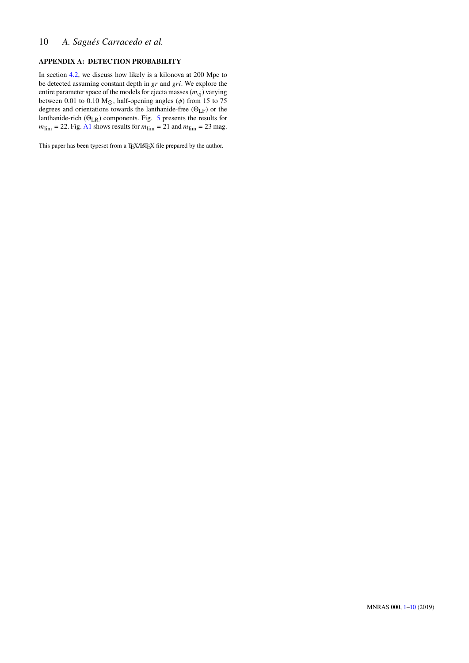## 10 *A. Sagués Carracedo et al.*

## <span id="page-9-0"></span>**APPENDIX A: DETECTION PROBABILITY**

In section [4.2,](#page-3-1) we discuss how likely is a kilonova at 200 Mpc to be detected assuming constant depth in  $gr$  and  $gr$ . We explore the entire parameter space of the models for ejecta masses  $(m_{ei})$  varying between 0.01 to 0.10  $M_{\odot}$ , half-opening angles ( $\phi$ ) from 15 to 75 degrees and orientations towards the lanthanide-free (ΘLF) or the lanthanide-rich  $(\Theta_{LR})$  components. Fig. [5](#page-5-1) presents the results for  $m_{\text{lim}} = 22$ . Fig. [A1](#page-10-0) shows results for  $m_{\text{lim}} = 21$  and  $m_{\text{lim}} = 23$  mag.

This paper has been typeset from a TEX/LATEX file prepared by the author.